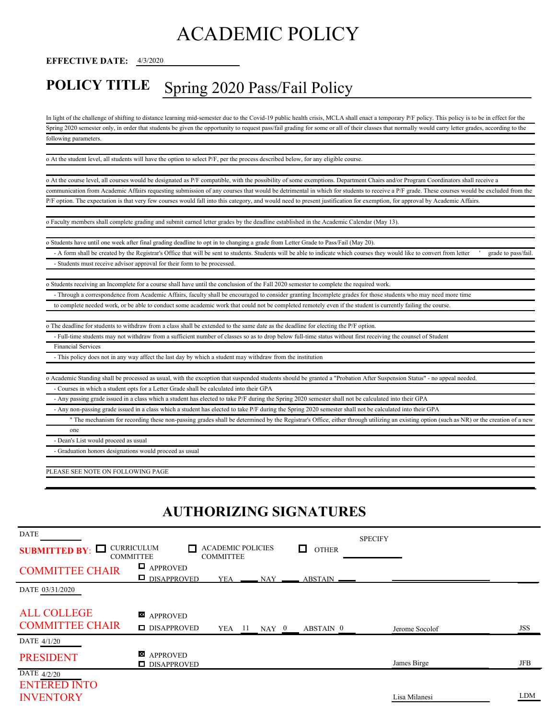## ACADEMIC POLICY

EFFECTIVE DATE: 4/3/2020

## Spring 2020 Pass/Fail Policy POLICY TITLE

In light of the challenge of shifting to distance learning mid-semester due to the Covid-19 public health crisis, MCLA shall enact a temporary P/F policy. This policy is to be in effect for the Spring 2020 semester only, in order that students be given the opportunity to request pass/fail grading for some or all of their classes that normally would carry letter grades, according to the following parameters.

o At the student level, all students will have the option to select P/F, per the process described below, for any eligible course.

o At the course level, all courses would be designated as P/F compatible, with the possibility of some exemptions. Department Chairs and/or Program Coordinators shall receive a communication from Academic Affairs requesting submission of any courses that would be detrimental in which for students to receive a P/F grade. These courses would be excluded from the P/F option. The expectation is that very few courses would fall into this category, and would need to present justification for exemption, for approval by Academic Affairs.

o Faculty members shall complete grading and submit earned letter grades by the deadline established in the Academic Calendar (May 13).

o Students have until one week after final grading deadline to opt in to changing a grade from Letter Grade to Pass/Fail (May 20).

- A form shall be created by the Registrar's Office that will be sent to students. Students will be able to indicate which courses they would like to convert from letter 'grade to pass/fail Students must receive advisor approval for their form to be processed.

o Students receiving an Incomplete for a course shall have until the conclusion of the Fall 2020 semester to complete the required work. - Through a correspondence from Academic Affairs, faculty shall be encouraged to consider granting Incomplete grades for those students who may need more time

to complete needed work, or be able to conduct some academic work that could not be completed remotely even if the student is currently failing the course

o The deadline for students to withdraw from a class shall be extended to the same date as the deadline for electing the P/F option.

- Full-time students may not withdraw from a sufficient number of classes so as to drop below full-time status without first receiving the counsel of Student

Financial Services

- This policy does not in any way affect the last day by which a student may withdraw from the institution

o Academic Standing shall be processed as usual, with the exception that suspended students should be granted a "Probation After Suspension Status" - no appeal needed.

- Courses in which a student opts for a Letter Grade shall be calculated into their GPA

- Any passing grade issued in a class which a student has elected to take P/F during the Spring 2020 semester shall not be calculated into their GPA

- Any non-passing grade issued in a class which a student has elected to take P/F during the Spring 2020 semester shall not be calculated into their GPA

 " The mechanism for recording these non-passing grades shall be determined by the Registrar's Office, either through utilizing an existing option (such as NR) or the creation of a new one

- Dean's List would proceed as usual

Graduation honors designations would proceed as usual

PLEASE SEE NOTE ON FOLLOWING PAGE

## AUTHORIZING SIGNATURES

| <b>DATE</b>                                                                                                   |                                               |            |                     |            |                | <b>SPECIFY</b> |            |
|---------------------------------------------------------------------------------------------------------------|-----------------------------------------------|------------|---------------------|------------|----------------|----------------|------------|
| <b>CURRICULUM</b><br><b>ACADEMIC POLICIES</b><br><b>SUBMITTED BY:</b><br><b>COMMITTEE</b><br><b>COMMITTEE</b> |                                               |            | l 1<br><b>OTHER</b> |            |                |                |            |
| <b>COMMITTEE CHAIR</b>                                                                                        | $\blacksquare$ APPROVED<br>$\Box$ DISAPPROVED | <b>YEA</b> |                     | <b>NAY</b> | <b>ABSTAIN</b> |                |            |
| DATE 03/31/2020                                                                                               |                                               |            |                     |            |                |                |            |
| <b>ALL COLLEGE</b><br><b>COMMITTEE CHAIR</b>                                                                  | <b>X</b> APPROVED<br>DISAPPROVED              | <b>YEA</b> | -11                 | $NAY$ 0    | ABSTAIN 0      | Jerome Socolof | <b>JSS</b> |
| DATE 4/1/20                                                                                                   |                                               |            |                     |            |                |                |            |
| <b>PRESIDENT</b>                                                                                              | <b>X</b> APPROVED<br><b>D</b> DISAPPROVED     |            |                     |            |                | James Birge    | <b>JFB</b> |
| DATE $4/2/20$<br><b>ENTERED INTO</b><br><b>INVENTORY</b>                                                      |                                               |            |                     |            |                | Lisa Milanesi  | LDM        |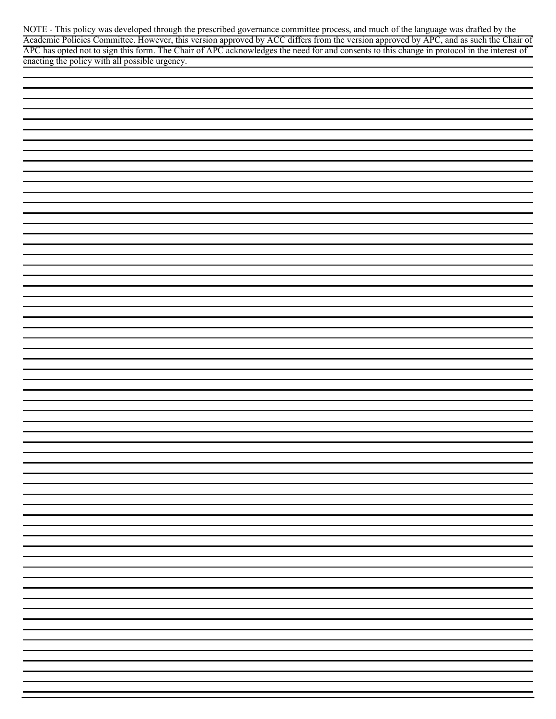NOTE - This policy was developed through the prescribed governance committee process, and much of the language was drafted by the Academic Policies Committee. However, this version approved by ACC differs from the version approved by APC, and as such the Chair of APC has opted not to sign this form. The Chair of APC acknowledges the need for and consents to this change in protocol in the interest of enacting the policy with all possible urgency.